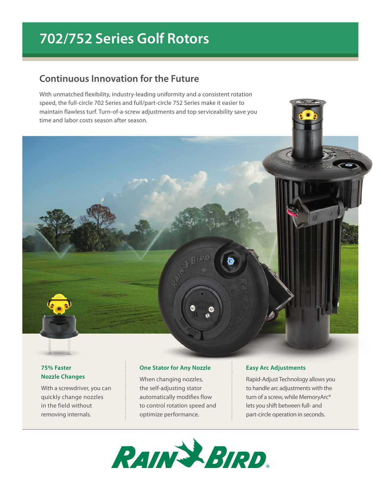# **702/752 Series Golf Rotors**

# **Continuous Innovation for the Future**

With unmatched flexibility, industry-leading uniformity and a consistent rotation speed, the full-circle 702 Series and full/part-circle 752 Series make it easier to maintain flawless turf. Turn-of-a-screw adjustments and top serviceability save you time and labor costs season after season.



With a screwdriver, you can quickly change nozzles in the field without removing internals.

#### **One Stator for Any Nozzle**

When changing nozzles, the self-adjusting stator automatically modifies flow to control rotation speed and optimize performance.

#### **Easy Arc Adjustments**

Rapid-Adjust Technology allows you to handle arc adjustments with the turn of a screw, while MemoryArc<sup>®</sup> lets you shift between full- and part-circle operation in seconds.